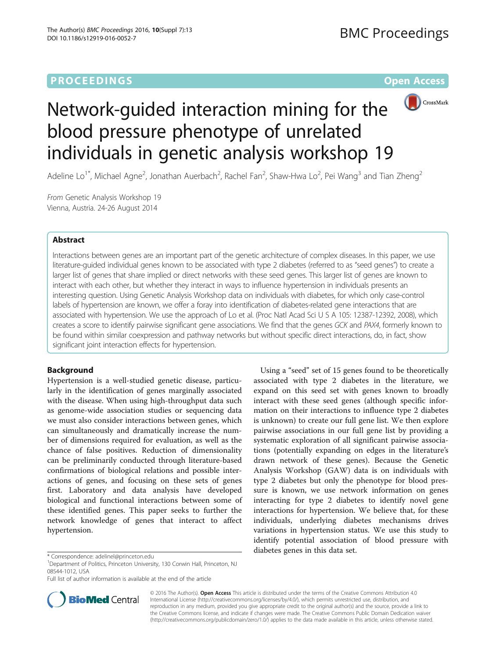# **PROCEEDINGS CONSUMING S** Open Access



# Network-guided interaction mining for the blood pressure phenotype of unrelated individuals in genetic analysis workshop 19

Adeline Lo<sup>1\*</sup>, Michael Agne<sup>2</sup>, Jonathan Auerbach<sup>2</sup>, Rachel Fan<sup>2</sup>, Shaw-Hwa Lo<sup>2</sup>, Pei Wang<sup>3</sup> and Tian Zheng<sup>2</sup>

From Genetic Analysis Workshop 19 Vienna, Austria. 24-26 August 2014

# Abstract

Interactions between genes are an important part of the genetic architecture of complex diseases. In this paper, we use literature-guided individual genes known to be associated with type 2 diabetes (referred to as "seed genes") to create a larger list of genes that share implied or direct networks with these seed genes. This larger list of genes are known to interact with each other, but whether they interact in ways to influence hypertension in individuals presents an interesting question. Using Genetic Analysis Workshop data on individuals with diabetes, for which only case-control labels of hypertension are known, we offer a foray into identification of diabetes-related gene interactions that are associated with hypertension. We use the approach of Lo et al. (Proc Natl Acad Sci U S A 105: 12387-12392, 2008), which creates a score to identify pairwise significant gene associations. We find that the genes GCK and PAX4, formerly known to be found within similar coexpression and pathway networks but without specific direct interactions, do, in fact, show significant joint interaction effects for hypertension.

# Background

Hypertension is a well-studied genetic disease, particularly in the identification of genes marginally associated with the disease. When using high-throughput data such as genome-wide association studies or sequencing data we must also consider interactions between genes, which can simultaneously and dramatically increase the number of dimensions required for evaluation, as well as the chance of false positives. Reduction of dimensionality can be preliminarily conducted through literature-based confirmations of biological relations and possible interactions of genes, and focusing on these sets of genes first. Laboratory and data analysis have developed biological and functional interactions between some of these identified genes. This paper seeks to further the network knowledge of genes that interact to affect hypertension.

diabetes genes in this data set. \* Correspondence: [adelinel@princeton.edu](mailto:adelinel@princeton.edu) <sup>1</sup> Department of Politics, Princeton University, 130 Corwin Hall, Princeton, NJ 08544-1012, USA

Full list of author information is available at the end of the article



Using a "seed" set of 15 genes found to be theoretically associated with type 2 diabetes in the literature, we expand on this seed set with genes known to broadly interact with these seed genes (although specific information on their interactions to influence type 2 diabetes is unknown) to create our full gene list. We then explore pairwise associations in our full gene list by providing a systematic exploration of all significant pairwise associations (potentially expanding on edges in the literature's drawn network of these genes). Because the Genetic Analysis Workshop (GAW) data is on individuals with type 2 diabetes but only the phenotype for blood pressure is known, we use network information on genes interacting for type 2 diabetes to identify novel gene interactions for hypertension. We believe that, for these individuals, underlying diabetes mechanisms drives variations in hypertension status. We use this study to identify potential association of blood pressure with

© 2016 The Author(s). Open Access This article is distributed under the terms of the Creative Commons Attribution 4.0 International License [\(http://creativecommons.org/licenses/by/4.0/](http://creativecommons.org/licenses/by/4.0/)), which permits unrestricted use, distribution, and reproduction in any medium, provided you give appropriate credit to the original author(s) and the source, provide a link to the Creative Commons license, and indicate if changes were made. The Creative Commons Public Domain Dedication waiver [\(http://creativecommons.org/publicdomain/zero/1.0/](http://creativecommons.org/publicdomain/zero/1.0/)) applies to the data made available in this article, unless otherwise stated.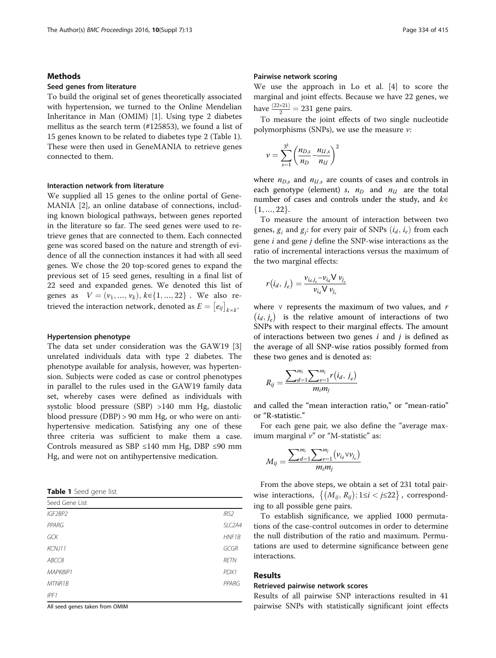# Methods

# Seed genes from literature

To build the original set of genes theoretically associated with hypertension, we turned to the Online Mendelian Inheritance in Man (OMIM) [\[1](#page-3-0)]. Using type 2 diabetes mellitus as the search term (#125853), we found a list of 15 genes known to be related to diabetes type 2 (Table 1). These were then used in GeneMANIA to retrieve genes connected to them.

## Interaction network from literature

We supplied all 15 genes to the online portal of Gene-MANIA [[2\]](#page-3-0), an online database of connections, including known biological pathways, between genes reported in the literature so far. The seed genes were used to retrieve genes that are connected to them. Each connected gene was scored based on the nature and strength of evidence of all the connection instances it had with all seed genes. We chose the 20 top-scored genes to expand the previous set of 15 seed genes, resulting in a final list of 22 seed and expanded genes. We denoted this list of genes as  $V = (v_1, ..., v_k), k \in \{1, ..., 22\}$ . We also retrieved the interaction network, denoted as  $E = [e_{ij}]_{k \times k}$ .

# Hypertension phenotype

The data set under consideration was the GAW19 [\[3](#page-3-0)] unrelated individuals data with type 2 diabetes. The phenotype available for analysis, however, was hypertension. Subjects were coded as case or control phenotypes in parallel to the rules used in the GAW19 family data set, whereby cases were defined as individuals with systolic blood pressure (SBP) >140 mm Hg, diastolic blood pressure (DBP) > 90 mm Hg, or who were on antihypertensive medication. Satisfying any one of these three criteria was sufficient to make them a case. Controls measured as SBP ≤140 mm Hg, DBP ≤90 mm Hg, and were not on antihypertensive medication.

Table 1 Seed gene list

| Seed Gene List |                     |
|----------------|---------------------|
| IGF2BP2        | IRS2                |
| PPARG          | SLC <sub>2</sub> A4 |
| GCK            | HNF1B               |
| KCNJ11         | GCGR                |
| ABCC8          | <b>RETN</b>         |
| MAPK8IP1       | PDX1                |
| MTNR1B         | PPARG               |
| IPF1           |                     |

All seed genes taken from OMIM

# Pairwise network scoring

We use the approach in Lo et al. [[4\]](#page-3-0) to score the marginal and joint effects. Because we have 22 genes, we have  $\frac{(22*21)}{2} = 231$  gene pairs.

To measure the joint effects of two single nucleotide polymorphisms (SNPs), we use the measure  $\nu$ :

$$
v = \sum_{s=1}^{3^k} \left( \frac{n_{D,s}}{n_D} - \frac{n_{U,s}}{n_U} \right)^2
$$

where  $n_{D,s}$  and  $n_{U,s}$  are counts of cases and controls in each genotype (element) s,  $n_D$  and  $n_U$  are the total number of cases and controls under the study, and  $k \in$  $\{1, ..., 22\}.$ 

To measure the amount of interaction between two genes,  $g_i$  and  $g_j$ : for every pair of SNPs  $(i_d, i_e)$  from each pair  $j$  of  $\mathcal{S}$ . gene i and gene j define the SNP-wise interactions as the ratio of incremental interactions versus the maximum of the two marginal effects:

$$
r(i_d, j_e) = \frac{v_{i_d,j_e} - v_{i_d} V v_{j_e}}{v_{i_d} V v_{j_e}}
$$

where  $\vee$  represents the maximum of two values, and r  $(i_d, j_e)$  is the relative amount of interactions of two SNPs with respect to their marginal effects. The amount of interactions between two genes  $i$  and  $j$  is defined as the average of all SNP-wise ratios possibly formed from these two genes and is denoted as:

$$
R_{ij} = \frac{\sum_{d=1}^{m_i} \sum_{e=1}^{m_j} r(i_d, j_e)}{m_i m_j}
$$

and called the "mean interaction ratio," or "mean-ratio" or "R-statistic."

For each gene pair, we also define the "average maximum marginal  $v$ " or "M-statistic" as:

$$
M_{ij} = \frac{\sum_{d=1}^{m_i} \sum_{e=1}^{m_j} (v_{i_d} \vee v_{j_e})}{m_i m_j}
$$

From the above steps, we obtain a set of 231 total pairwise interactions,  $\{(M_{ij}, R_{ij}); 1 \le i < j \le 22\}$ , corresponding to all possible gene pairs.

To establish significance, we applied 1000 permutations of the case-control outcomes in order to determine the null distribution of the ratio and maximum. Permutations are used to determine significance between gene interactions.

# Results

# Retrieved pairwise network scores

Results of all pairwise SNP interactions resulted in 41 pairwise SNPs with statistically significant joint effects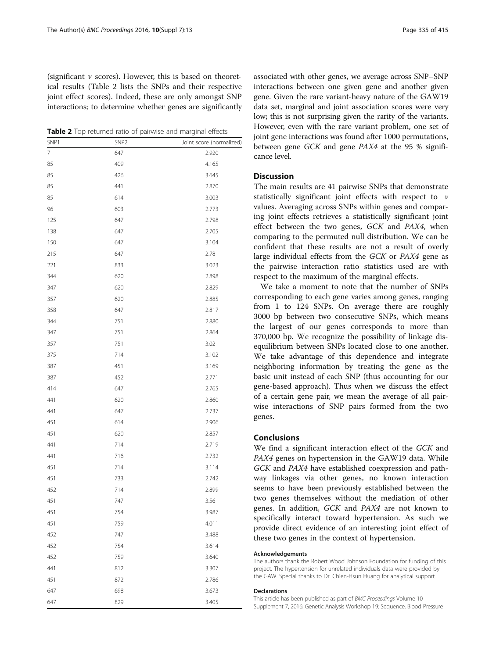(significant  $\nu$  scores). However, this is based on theoretical results (Table 2 lists the SNPs and their respective joint effect scores). Indeed, these are only amongst SNP interactions; to determine whether genes are significantly

Table 2 Top returned ratio of pairwise and marginal effects

| SNP1 | SNP <sub>2</sub> | Joint score (normalized) |
|------|------------------|--------------------------|
| 7    | 647              | 2.920                    |
| 85   | 409              | 4.165                    |
| 85   | 426              | 3.645                    |
| 85   | 441              | 2.870                    |
| 85   | 614              | 3.003                    |
| 96   | 603              | 2.773                    |
| 125  | 647              | 2.798                    |
| 138  | 647              | 2.705                    |
| 150  | 647              | 3.104                    |
| 215  | 647              | 2.781                    |
| 221  | 833              | 3.023                    |
| 344  | 620              | 2.898                    |
| 347  | 620              | 2.829                    |
| 357  | 620              | 2.885                    |
| 358  | 647              | 2.817                    |
| 344  | 751              | 2.880                    |
| 347  | 751              | 2.864                    |
| 357  | 751              | 3.021                    |
| 375  | 714              | 3.102                    |
| 387  | 451              | 3.169                    |
| 387  | 452              | 2.771                    |
| 414  | 647              | 2.765                    |
| 441  | 620              | 2.860                    |
| 441  | 647              | 2.737                    |
| 451  | 614              | 2.906                    |
| 451  | 620              | 2.857                    |
| 441  | 714              | 2.719                    |
| 441  | 716              | 2.732                    |
| 451  | 714              | 3.114                    |
| 451  | 733              | 2.742                    |
| 452  | 714              | 2.899                    |
| 451  | 747              | 3.561                    |
| 451  | 754              | 3.987                    |
| 451  | 759              | 4.011                    |
| 452  | 747              | 3.488                    |
| 452  | 754              | 3.614                    |
| 452  | 759              | 3.640                    |
| 441  | 812              | 3.307                    |
| 451  | 872              | 2.786                    |
| 647  | 698              | 3.673                    |
| 647  | 829              | 3.405                    |

associated with other genes, we average across SNP–SNP interactions between one given gene and another given gene. Given the rare variant-heavy nature of the GAW19 data set, marginal and joint association scores were very low; this is not surprising given the rarity of the variants. However, even with the rare variant problem, one set of joint gene interactions was found after 1000 permutations, between gene GCK and gene PAX4 at the 95 % significance level.

# **Discussion**

The main results are 41 pairwise SNPs that demonstrate statistically significant joint effects with respect to  $\nu$ values. Averaging across SNPs within genes and comparing joint effects retrieves a statistically significant joint effect between the two genes, GCK and PAX4, when comparing to the permuted null distribution. We can be confident that these results are not a result of overly large individual effects from the GCK or PAX4 gene as the pairwise interaction ratio statistics used are with respect to the maximum of the marginal effects.

We take a moment to note that the number of SNPs corresponding to each gene varies among genes, ranging from 1 to 124 SNPs. On average there are roughly 3000 bp between two consecutive SNPs, which means the largest of our genes corresponds to more than 370,000 bp. We recognize the possibility of linkage disequilibrium between SNPs located close to one another. We take advantage of this dependence and integrate neighboring information by treating the gene as the basic unit instead of each SNP (thus accounting for our gene-based approach). Thus when we discuss the effect of a certain gene pair, we mean the average of all pairwise interactions of SNP pairs formed from the two genes.

# Conclusions

We find a significant interaction effect of the GCK and PAX4 genes on hypertension in the GAW19 data. While GCK and PAX4 have established coexpression and pathway linkages via other genes, no known interaction seems to have been previously established between the two genes themselves without the mediation of other genes. In addition, GCK and PAX4 are not known to specifically interact toward hypertension. As such we provide direct evidence of an interesting joint effect of these two genes in the context of hypertension.

### Acknowledgements

The authors thank the Robert Wood Johnson Foundation for funding of this project. The hypertension for unrelated individuals data were provided by the GAW. Special thanks to Dr. Chien-Hsun Huang for analytical support.

#### Declarations

This article has been published as part of BMC Proceedings Volume 10 Supplement 7, 2016: Genetic Analysis Workshop 19: Sequence, Blood Pressure